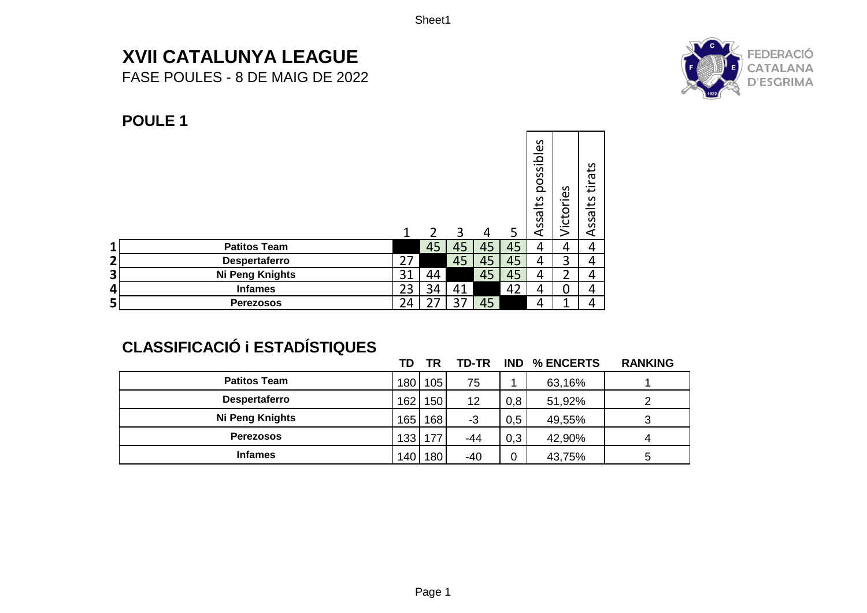Sheet1

# **XVII CATALUNYA LEAGUE**

FASE POULES - 8 DE MAIG DE 2022



#### **POULE 1**

|                         |                        | 1  | 2  | 3  | 4  | 5  | S<br>ible<br>S<br>pos<br>ssalts<br>⋖ | <u>es</u><br>؎<br>Victor | ats<br>؎<br>∓<br>LS<br>ssa<br>⋖ |
|-------------------------|------------------------|----|----|----|----|----|--------------------------------------|--------------------------|---------------------------------|
| 1                       | <b>Patitos Team</b>    |    | 45 | 45 | 45 | 45 | 4                                    | 4                        | 4                               |
| $\overline{\mathbf{2}}$ | Despertaferro          | 27 |    | 45 | 45 | 45 | 4                                    | 3                        | 4                               |
| 3                       | <b>Ni Peng Knights</b> | 31 | 44 |    | 45 | 45 | 4                                    | າ                        | 4                               |
| 4                       | <b>Infames</b>         | 23 | 34 | 41 |    | 42 | 4                                    | 0                        | 4                               |
| 5                       | <b>Perezosos</b>       | 24 | 27 | 37 | 45 |    | 4                                    | ◂                        | 4                               |

## **CLASSIFICACIÓ i ESTADÍSTIQUES**

|                      | TD   | TR        | TD-TR | <b>IND</b> | % ENCERTS | <b>RANKING</b> |
|----------------------|------|-----------|-------|------------|-----------|----------------|
| <b>Patitos Team</b>  |      | 180 105   | 75    |            | 63,16%    |                |
| <b>Despertaferro</b> | 1621 | 150       | 12    | 0,8        | 51,92%    |                |
| Ni Peng Knights      | 165  | 168       | -3    | 0,5        | 49,55%    |                |
| <b>Perezosos</b>     |      | 133   177 | -44   | 0,3        | 42,90%    |                |
| <b>Infames</b>       | 1401 | 180       | $-40$ |            | 43,75%    |                |